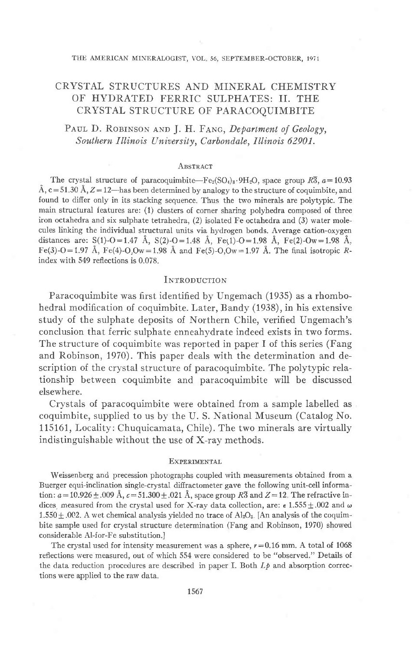# CRYSTAL STRUCTURES AND MINERAL CHEMISTRY OF HYDRATED FERRIC SULPHATES: II. THE CRYSTAL STRUCTURE OF PARACOQUIMBITE

PAUL D. ROBINSON AND J. H. FANG, Department of Geology, Southern Illinois University, Carbondale, Illinois 62901.

### ABSTRACT

The crystal structure of paracoquimbite—Fe<sub>2</sub>(SO<sub>4</sub>)<sub>3</sub>.9H<sub>2</sub>O, space group  $R\overline{3}$ ,  $a=10.93$ Å,  $c = 51.30$  Å,  $Z = 12$ —has been determined by analogy to the structure of coquimbite, and found to differ only in its stacking sequence. Thus the two minerals are polytypic. The main structural features are: (1) clusters of corner sharing polyhedra composed of three iron octahedra and six sulphate tetrahedra, (2) isolated Fe octahedra and (3) water molecules linking the individual structural units via hydrogen bonds. Average cation-oxygen distances are: S(1)-O=1.47 Å, S(2)-O=1.48 Å, Fe(1)-O=1.98 Å, Fe(2)-Ow=1.98 Å. Fe(3)-O=1.97 Å, Fe(4)-O,Ow=1.98 Å and Fe(5)-O,Ow=1.97 Å. The final isotropic Rindex with 549 reflections is 0.078.

## INTRODUCTION

Paracoquimbite was first identified by Ungemach (1935) as a rhombohedral modification of coquimbite. Later, Bandy (1938), in his extensive study of the sulphate deposits of Northern Chile, verified Ungemach's conclusion that ferric sulphate enneahydrate indeed exists in two forms. The structure of coquimbite was reported in paper I of this series (Fang and Robinson, 1970). This paper deals with the determination and description of the crystal structure of paracoquimbite. The polytypic relationship between coquimbite and paracoquimbite will be discussed elsewhere.

Crystals of paracoquimbite were obtained from a sample labelled as coquimbite, supplied to us by the U.S. National Museum (Catalog No. 115161, Locality: Chuquicamata, Chile). The two minerals are virtually indistinguishable without the use of X-ray methods.

#### **EXPERIMENTAL**

Weissenberg and precession photographs coupled with measurements obtained from a Buerger equi-inclination single-crystal diffractometer gave the following unit-cell information:  $a = 10.926 \pm .009$  Å,  $c = 51.300 \pm .021$  Å, space group R3 and  $Z = 12$ . The refractive indices, measured from the crystal used for X-ray data collection, are:  $\epsilon$  1.555  $\pm$  002 and  $\omega$  $1.550 \pm .002$ . A wet chemical analysis yielded no trace of Al<sub>2</sub>O<sub>3</sub>. [An analysis of the coquimbite sample used for crystal structure determination (Fang and Robinson, 1970) showed considerable Al-for-Fe substitution.]

The crystal used for intensity measurement was a sphere,  $r = 0.16$  mm. A total of 1068 reflections were measured, out of which 554 were considered to be "observed." Details of the data reduction procedures are described in paper I. Both  $L\phi$  and absorption corrections were applied to the raw data.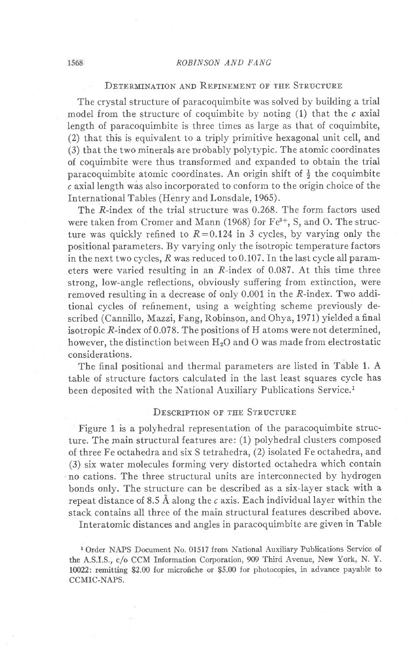## DETERMINATION AND REFINEMENT OF THE STRUCTURE

The crystal structure of paracoquimbite was solved by building a trial model from the structure of coquimbite by noting  $(1)$  that the c axial Iength of paracoquimbite is three times as large as that of coquimbite, (2) that this is equivalent to a triply primitive hexagonal unit cell, and (3) that the two minerals are probably polytypic. The atomic coordinates of coquimbite were thus transformed and expanded to obtain the trial paracoquimbite atomic coordinates. An origin shift of  $\frac{1}{2}$  the coquimbite c axiallength wis also incorporated to conform to the origin choice of the International Tables (Henry and Lonsdale, 1965).

The R-index of the trial structure was 0.268. The form factors used were taken from Cromer and Mann (1968) for  $Fe^{3+}$ , S, and O. The structure was quickly refined to  $R=0.124$  in 3 cycles, by varying only the positional parameters. By varying only the isotropic temperature factors in the next two cycles, R was reduced to 0.107. fn the last cycle all parameters were varied resulting in an R-index of 0.087. At this time three strong, low-angle reflections, obviously suffering from extinction, were removed resulting in a decrease of only 0.001 in the R-index. Two additional cycles of refinement, using a weighting scheme previously described (Cannillo, Mazzi, Fang, Robinson, and Ohya, 1971) yielded a final isotropic R-index of 0.078. The positions of H atoms were not determined, however, the distinction between H<sub>2</sub>O and O was made from electrostatic considerations.

The final positional and thermal parameters are listed in Table 1. A table of structure factors calculated in the last least squares cycle has been deposited with the National Auxiliary Publications Service.<sup>1</sup>

## DESCRIPTION OF THE STRUCTURE

Figure 1 is a polyhedral representation of the paracoquimbite structure. The main structural features are: (1) polyhedral clusters composed of three Fe octahedra and six S tetrahedra, (2) isolated Fe octahedra, and (3) six water molecules forming very distorted octahedra which contain no cations. The three structural units are interconnected by hydrogen bonds only. The structure can be described as a six-layer stack with a repeat distance of 8.5 Å along the  $c$  axis. Each individual layer within the stack contains all three of the main structural features described above.

fnteratomic distances and angles in paracoquimbite are given in Table

1 Order NAPS Document No. 01517 from National Auxiliary Publications Service of the A.S.I.S., c/o CCM Information Corporation, 909 Third Avenue, New York, N. Y. 10022: remitting \$2.00 for microfiche or \$5.00 for photocopies, in advance payable to CCMIC-NAPS.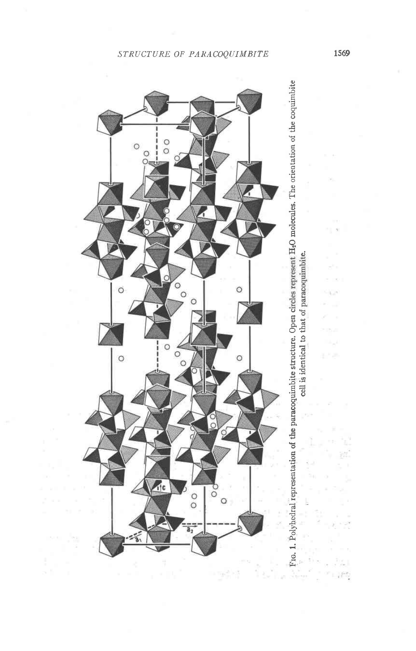# STRUCTURE OF PARACOQUIMBITE



FIG. 1. Polyhedral representation of the paracoquimbite structure. Open circles represent H<sub>2</sub>O molecules. The orientation of the coquimbite cell is identical to that of paracoquimbite. 1569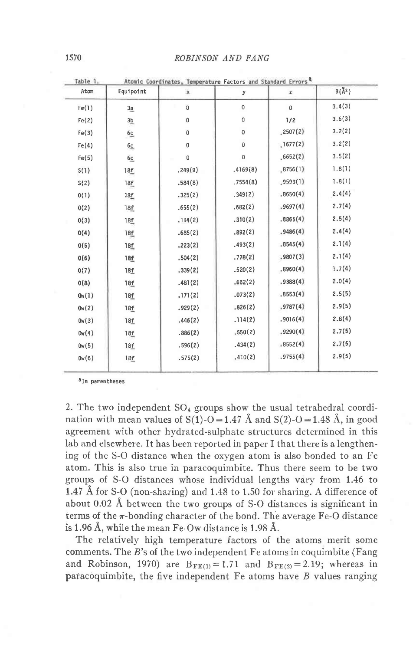| Table 1. | Atomic Coordinates, Temperature Factors and Standard Errors <sup>Q</sup> |             |           |              |                         |  |  |
|----------|--------------------------------------------------------------------------|-------------|-----------|--------------|-------------------------|--|--|
| Atom     | Equipoint                                                                | $\mathbf x$ | у         | z            | $B(\overset{0}{A}{}^2)$ |  |  |
| Fe(1)    | 3a                                                                       | 0           | 0         | $\mathbf{0}$ | 3.4(3)                  |  |  |
| Fe(2)    | $\frac{3b}{2}$                                                           | 0           | 0         | 1/2          | 3.6(3)                  |  |  |
| Fe(3)    | 6c                                                                       | 0           | $\pmb{0}$ | .2507(2)     | 3.2(2)                  |  |  |
| Fe(4)    | 6c                                                                       | 0           | $\bf 0$   | ,1677(2)     | 3.2(2)                  |  |  |
| Fe(5)    | 6c                                                                       | $\mathbf 0$ | $\pmb{0}$ | .6652(2)     | 3.5(2)                  |  |  |
| S(1)     | 18f                                                                      | .249(9)     | .4169(8)  | ,8756(1)     | 1.8(1)                  |  |  |
| S(2)     | 18f                                                                      | .584(8)     | ,7554(8)  | .9593(1)     | 7.8(1)                  |  |  |
| 0(1)     | 18f                                                                      | .325(2)     | .349(2)   | .8650(4)     | 2.4(4)                  |  |  |
| 0(2)     | 18f                                                                      | .655(2)     | .682(2)   | .9697(4)     | 2.7(4)                  |  |  |
| 0(3)     | 18f                                                                      | .114(2)     | .310(2)   | .8865(4)     | 2.5(4)                  |  |  |
| 0(4)     | 18f                                                                      | .685(2)     | .892(2)   | .9486(4)     | 2.4(4)                  |  |  |
| 0(5)     | 18f                                                                      | .223(2)     | .493(2)   | .8545(4)     | 2.1(4)                  |  |  |
| 0(6)     | 18f                                                                      | .504(2)     | .778(2)   | .9807(3)     | 2.1(4)                  |  |  |
| 0(7)     | 18f                                                                      | .339(2)     | .520(2)   | .8960(4)     | 1.7(4)                  |  |  |
| O(8)     | 18f                                                                      | .481(2)     | .662(2)   | .9388(4)     | 2.0(4)                  |  |  |
| 0w(1)    | 18f                                                                      | .171(2)     | .073(2)   | .8553(4)     | 2.5(5)                  |  |  |
| 0w(2)    | 18f                                                                      | .929(2)     | .826(2)   | .9787(4)     | 2.9(5)                  |  |  |
| 0w(3)    | 18f                                                                      | .446(2)     | .114(2)   | .9016(4)     | 2.8(4)                  |  |  |
| 0w(4)    | 18f                                                                      | .886(2)     | .550(2)   | .9290(4)     | 2.7(5)                  |  |  |
| 0w(5)    | 18f                                                                      | .596(2)     | .434(2)   | .8552(4)     | 2.7(5)                  |  |  |
| 0w(6)    | 18f                                                                      | .575(2)     | .410(2)   | .9755(4)     | 2.9(5)                  |  |  |
|          |                                                                          |             |           |              |                         |  |  |

a<sub>In parentheses</sub>

2. The two independent  $SO_4$  groups show the usual tetrahedral coordination with mean values of S(1)-O = 1.47 Å and S(2)-O = 1.48 Å, in good agreement with other hydrated-sulphate structures determined in this lab and elsewhere. It has been reported in paper I that there is a lengthening of the S-O distance when the oxygen atom is also bonded to an Fe atom. This is also true in paracoquimbite. Thus there seem to be two groups of S-O distances whose individual lengths vary from 1.46 to 1.47 Å for S-O (non-sharing) and 1.48 to 1.50 for sharing. A difference of about 0.02 Å between the two groups of S-O distances is significant in terms of the  $\pi$ -bonding character of the bond. The average Fe-O distance is 1.96 Å, while the mean Fe-Ow distance is 1.98 Å.

The relatively high temperature factors of the atoms merit some comments. The  $B$ 's of the two independent  $F$ e atoms in coquimbite (Fang and Robinson, 1970) are  $B_{FE(1)} = 1.71$  and  $B_{FE(2)} = 2.19$ ; whereas in paracoquimbite, the five independent  $Fe$  atoms have  $B$  values ranging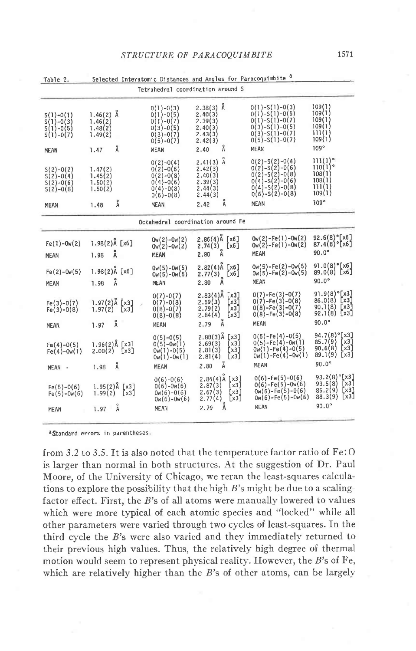| Tabie 2.<br>Selected Interatomic Distances and Angles for Paracoguinolic |                                                           |                                                                                                       |                                                                                              |                                                                                                                                         |                                                                                                 |  |  |  |  |
|--------------------------------------------------------------------------|-----------------------------------------------------------|-------------------------------------------------------------------------------------------------------|----------------------------------------------------------------------------------------------|-----------------------------------------------------------------------------------------------------------------------------------------|-------------------------------------------------------------------------------------------------|--|--|--|--|
| Tetrahedral coordination around S                                        |                                                           |                                                                                                       |                                                                                              |                                                                                                                                         |                                                                                                 |  |  |  |  |
| $S(1)-O(1)$<br>$S(1)-O(3)$<br>$S(1)-O(5)$<br>$S(1)-O(7)$<br><b>MEAN</b>  | $1.46(2)$ Å<br>1.46(2)<br>1.48(2)<br>1.49(2)<br>Å<br>1.47 | $0(1)-0(3)$<br>$0(1)-0(5)$<br>$0(1)-0(7)$<br>$0(3)-0(5)$<br>$0(3)-0(7)$<br>$0(5)-0(7)$<br>MEAN        | $2.38(3)$ Å<br>2.40(3)<br>2.39(3)<br>2.40(3)<br>2.43(3)<br>2.42(3)<br>Å<br>2.40              | $0(1)-S(1)-0(3)$<br>$0(1)-S(1)-0(5)$<br>$0(1)-S(1)-0(7)$<br>$0(3)-S(1)-0(5)$<br>$0(3)-S(1)-0(7)$<br>$0(5) - S(1) - 0(7)$<br><b>MEAN</b> | 109(1)<br>109(1)<br>109(1)<br>109(1)<br>111(1)<br>109(1)<br>$109^\circ$                         |  |  |  |  |
| $S(2)-O(2)$<br>$S(2)-O(4)$<br>$S(2)-O(6)$<br>$S(2)-O(8)$<br>MEAN         | 1.47(2)<br>1.45(2)<br>1.50(2)<br>1.50(2)<br>Å<br>1,48     | $0(2)-0(4)$<br>$0(2)-0(6)$<br>$0(2)-0(8)$<br>$0(4)-0(6)$<br>$0(4)-0(8)$<br>$0(6)-0(8)$<br><b>MEAN</b> | Å<br>2.41(3)<br>2.42(3)<br>2,40(3)<br>2.39(3)<br>2,44(3)<br>2.44(3)<br>Å<br>2.42             | $0(2)-5(2)-0(4)$<br>$0(2) - S(2) - 0(6)$<br>$0(2)-S(2)-0(8)$<br>$0(4)-5(2)-0(6)$<br>$0(4)-5(2)-0(8)$<br>$0(6)-5(2)-0(8)$<br><b>MEAN</b> | 11(1)°<br>110(1)°<br>108(1)<br>108(1)<br>111(1)<br>109(1)<br>109°                               |  |  |  |  |
| Octahedral coordination around Fe                                        |                                                           |                                                                                                       |                                                                                              |                                                                                                                                         |                                                                                                 |  |  |  |  |
| $Fe(1)-Ow(2)$<br><b>MEAN</b>                                             | $1.98(2)$ Å [x6]<br>Å<br>1.98                             | $0w(2)-0w(2)$<br>$0w(2)-0w(2)$<br><b>MEAN</b>                                                         | $2.86(4)$ Å [x6]<br>$2.74(3)$ [x6]<br>2.80 Å<br>2.80                                         | 0w(2)-Fe(1)-0w(2)<br>0w(2)-Fe(1)-0w(2)<br>MEAN                                                                                          | $92.6(8)^{\circ}$ [x6]<br>$87.4(8)^{\circ}$ [x6]<br>$90.0^\circ$                                |  |  |  |  |
| $Fe(2)-Ow(5)$<br><b>MEAN</b>                                             | $1.98(2)$ Å [x6]<br>Å<br>1.98                             | $0w(5)-0w(5)$<br>$0w(5)-0w(5)$<br>MEAN                                                                | $2.82(4)$ Å<br>[x6]<br>[x6]<br>$2.77(3)$<br>2.80 Å                                           | $0w(5) - Fe(2) - 0w(5)$<br>$0w(5)$ -Fe $(2)$ -0w $(5)$<br>MEAN                                                                          | $91.0(8)^{\circ}$ [x6]<br>89.0(8) [x6]<br>$90.0^{\circ}$                                        |  |  |  |  |
| $Fe(3)-O(7)$<br>$Fe(3)-0(8)$<br><b>MEAN</b>                              | $1.97(2)$ Å [x3]<br>1.97(2)<br>[x3]<br>Å<br>1.97          | $0(7)-0(7)$<br>$0(7)-0(8)$<br>$0(8)-0(7)$<br>$0(8)-0(8)$<br>MEAN                                      | $2.83(4)$ Å<br>[x3]<br>2.69(3)<br>[x3]<br>2.79(2)<br>[x3]<br>[x3]<br>2.84(4)<br>Å<br>2.79    | $0(7)$ -Fe $(3)$ -0 $(7)$<br>$0(7) - Fe(3) - 0(8)$<br>$0(8)-Fe(3)-0(7)$<br>$0(8) - Fe(3) - 0(8)$<br>MEAN                                | $91.9(8)^{\circ}$ [x3]<br>$86.0(8)$ [x3]<br>$90.1(8)$ [x3]<br>92.1(8)<br>[x3]<br>$90.0^{\circ}$ |  |  |  |  |
| $Fe(4)-O(5)$<br>$Fe(4)-0w(1)$<br>MEAN -                                  | $1.96(2)$ Å [x3]<br>2.00(2)<br>[x3]<br>Å<br>1.98          | $0(5)-0(5)$<br>$0(5)-0w(1)$<br>$0w(1)-0(5)$<br>$0w(1)-0w(1)$<br>MEAN                                  | $2.88(3)$ Å<br>[x3]<br>2,69(3)<br>[x3]<br>[x3]<br>2,81(3)<br>[x3]<br>2.81(4)<br>Å<br>2.80    | $0(5)$ -Fe $(4)$ -0 $(5)$<br>$0(5)-Fe(4)-0w(1)$<br>$0w(1) - Fe(4) - 0(5)$<br>$0w(1)$ -Fe $(4)$ -Ow $(1)$<br>MEAN                        | 94.7(8) <sup>°</sup> [x3]<br>$85.7(9)$ [x3]<br>$90.6(8)$ [x3]<br>$89.1(9)$ [x3]<br>$90.0^\circ$ |  |  |  |  |
| $Fe(5)-O(6)$<br>$Fe(5)-0w(6)$                                            | $1.95(2)$ Å $[x3]$<br>1.99(2)<br>[x3]<br>Å<br>1.97        | $0(6)-0(6)$<br>$0(6)-0w(6)$<br>$0w(6)-0(6)$<br>$0w(6)-0w(6)$<br>MEAN                                  | 2.84(4)A<br>[x3]<br>$\sqrt{3}$<br>2.87(3)<br>2.67(3)<br>[x3]<br>2.77(4)<br>[x3]<br>A<br>2.79 | $0(6)$ -Fe $(5)$ -0 $(6)$<br>$0(6)$ -Fe $(5)$ -0w $(6)$<br>$0w(6) - Fe(5) - 0(6)$<br>$0w(6)$ -Fe $(5)$ -0w $(6)$<br>MEAN                | 93.2(8)°[x3]<br>$93.5(8)$ [x3]<br>$85.2(9)$ [x3]<br>[x3]<br>88.3(9)<br>$90.0^\circ$             |  |  |  |  |
| MEAN                                                                     |                                                           |                                                                                                       |                                                                                              |                                                                                                                                         |                                                                                                 |  |  |  |  |

<sup>a</sup>Standard errors in parentheses.

from 3.2 to 3.5. It is also noted that the temperature factor ratio of Fe:O is larger than normal in both structures. At the suggestion of Dr. Paul Moore, of the University of Chicago, we reran the least-squares calculations to explore the possibility that the high  $B$ 's might be due to a scalingfactor effect. First, the B's of all atoms were manually lowered to values which were more typical of each atomic species and "locked" while all other parameters were varied through two cycles of least-squares. In the third cycle the B's were also varied and they immediately returned to their previous high values. Thus, the relatively high degree of thermal motion would seem to represent physical reality. However, the B's of Fe, which are relatively higher than the  $B$ 's of other atoms, can be largely